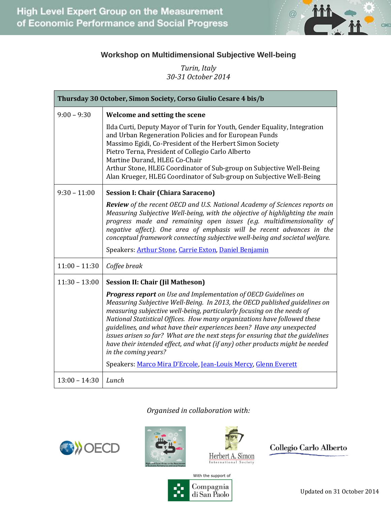

## **Workshop on Multidimensional Subjective Well-being**

*Turin, Italy 30-31 October 2014*

| Thursday 30 October, Simon Society, Corso Giulio Cesare 4 bis/b |                                                                                                                                                                                                                                                                                                                                                                                                                                                                                                                                                                               |  |
|-----------------------------------------------------------------|-------------------------------------------------------------------------------------------------------------------------------------------------------------------------------------------------------------------------------------------------------------------------------------------------------------------------------------------------------------------------------------------------------------------------------------------------------------------------------------------------------------------------------------------------------------------------------|--|
| $9:00 - 9:30$                                                   | Welcome and setting the scene                                                                                                                                                                                                                                                                                                                                                                                                                                                                                                                                                 |  |
|                                                                 | Ilda Curti, Deputy Mayor of Turin for Youth, Gender Equality, Integration<br>and Urban Regeneration Policies and for European Funds<br>Massimo Egidi, Co-President of the Herbert Simon Society<br>Pietro Terna, President of Collegio Carlo Alberto<br>Martine Durand, HLEG Co-Chair<br>Arthur Stone, HLEG Coordinator of Sub-group on Subjective Well-Being<br>Alan Krueger, HLEG Coordinator of Sub-group on Subjective Well-Being                                                                                                                                         |  |
| $9:30 - 11:00$                                                  | <b>Session I: Chair (Chiara Saraceno)</b>                                                                                                                                                                                                                                                                                                                                                                                                                                                                                                                                     |  |
|                                                                 | <b>Review</b> of the recent OECD and U.S. National Academy of Sciences reports on<br>Measuring Subjective Well-being, with the objective of highlighting the main<br>progress made and remaining open issues (e.g. multidimensionality of<br>negative affect). One area of emphasis will be recent advances in the<br>conceptual framework connecting subjective well-being and societal welfare.                                                                                                                                                                             |  |
|                                                                 | Speakers: Arthur Stone, Carrie Exton, Daniel Benjamin                                                                                                                                                                                                                                                                                                                                                                                                                                                                                                                         |  |
| $11:00 - 11:30$                                                 | Coffee break                                                                                                                                                                                                                                                                                                                                                                                                                                                                                                                                                                  |  |
| $11:30 - 13:00$                                                 | <b>Session II: Chair (Jil Matheson)</b>                                                                                                                                                                                                                                                                                                                                                                                                                                                                                                                                       |  |
|                                                                 | <b>Progress report</b> on Use and Implementation of OECD Guidelines on<br>Measuring Subjective Well-Being. In 2013, the OECD published guidelines on<br>measuring subjective well-being, particularly focusing on the needs of<br>National Statistical Offices. How many organizations have followed these<br>guidelines, and what have their experiences been? Have any unexpected<br>issues arisen so far? What are the next steps for ensuring that the guidelines<br>have their intended effect, and what (if any) other products might be needed<br>in the coming years? |  |
|                                                                 | Speakers: Marco Mira D'Ercole, Jean-Louis Mercy, Glenn Everett                                                                                                                                                                                                                                                                                                                                                                                                                                                                                                                |  |
| $13:00 - 14:30$                                                 | Lunch                                                                                                                                                                                                                                                                                                                                                                                                                                                                                                                                                                         |  |

*Organised in collaboration with:*







Collegio Carlo Alberto